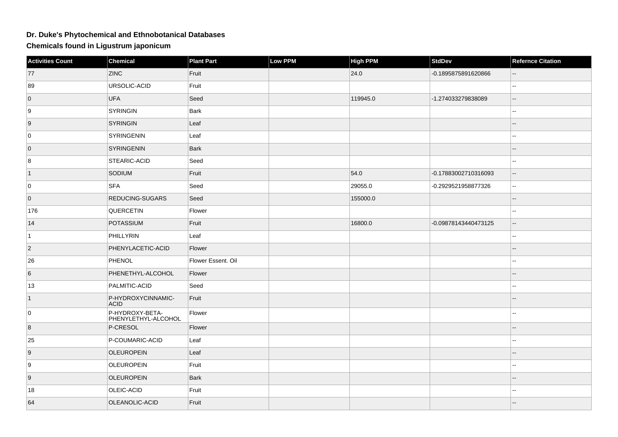## **Dr. Duke's Phytochemical and Ethnobotanical Databases**

**Chemicals found in Ligustrum japonicum**

| <b>Activities Count</b> | <b>Chemical</b>                        | <b>Plant Part</b>  | Low PPM | <b>High PPM</b> | <b>StdDev</b>        | <b>Refernce Citation</b> |
|-------------------------|----------------------------------------|--------------------|---------|-----------------|----------------------|--------------------------|
| 77                      | <b>ZINC</b>                            | Fruit              |         | 24.0            | -0.1895875891620866  |                          |
| 89                      | URSOLIC-ACID                           | Fruit              |         |                 |                      | --                       |
| $\overline{0}$          | UFA                                    | Seed               |         | 119945.0        | -1.274033279838089   | $-$                      |
| 9                       | SYRINGIN                               | Bark               |         |                 |                      | $\overline{\phantom{a}}$ |
| 9                       | SYRINGIN                               | Leaf               |         |                 |                      | $\overline{a}$           |
| 0                       | SYRINGENIN                             | Leaf               |         |                 |                      |                          |
| $\overline{0}$          | <b>SYRINGENIN</b>                      | Bark               |         |                 |                      | $-$                      |
| 8                       | <b>STEARIC-ACID</b>                    | Seed               |         |                 |                      | 44                       |
| $\vert$ 1               | SODIUM                                 | Fruit              |         | 54.0            | -0.17883002710316093 | $-$                      |
| 0                       | <b>SFA</b>                             | Seed               |         | 29055.0         | -0.2929521958877326  | --                       |
| $\overline{0}$          | <b>REDUCING-SUGARS</b>                 | Seed               |         | 155000.0        |                      | Ξ.                       |
| 176                     | QUERCETIN                              | Flower             |         |                 |                      | $\overline{a}$           |
| 14                      | POTASSIUM                              | Fruit              |         | 16800.0         | -0.09878143440473125 | --                       |
| $\vert$ 1               | PHILLYRIN                              | Leaf               |         |                 |                      | $\sim$                   |
| $ 2\rangle$             | PHENYLACETIC-ACID                      | Flower             |         |                 |                      | --                       |
| 26                      | PHENOL                                 | Flower Essent. Oil |         |                 |                      | ۵.                       |
| 6                       | PHENETHYL-ALCOHOL                      | Flower             |         |                 |                      |                          |
| 13                      | PALMITIC-ACID                          | Seed               |         |                 |                      | $\overline{a}$           |
| $\vert$ 1               | P-HYDROXYCINNAMIC-<br><b>ACID</b>      | Fruit              |         |                 |                      | --                       |
| 0                       | P-HYDROXY-BETA-<br>PHENYLETHYL-ALCOHOL | Flower             |         |                 |                      | $\sim$                   |
| 8                       | P-CRESOL                               | Flower             |         |                 |                      | --                       |
| 25                      | P-COUMARIC-ACID                        | Leaf               |         |                 |                      | $\overline{a}$           |
| 9                       | <b>OLEUROPEIN</b>                      | Leaf               |         |                 |                      |                          |
| 9                       | <b>OLEUROPEIN</b>                      | Fruit              |         |                 |                      | $\overline{a}$           |
| $\vert$ 9               | <b>OLEUROPEIN</b>                      | Bark               |         |                 |                      | $- -$                    |
| 18                      | OLEIC-ACID                             | Fruit              |         |                 |                      | --                       |
| 64                      | OLEANOLIC-ACID                         | Fruit              |         |                 |                      | $\overline{a}$           |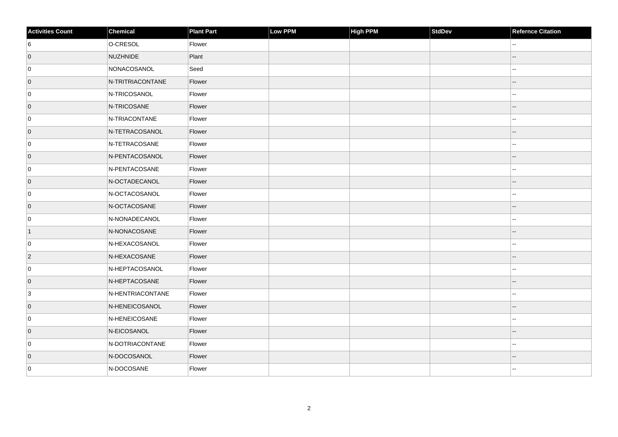| <b>Activities Count</b> | Chemical         | <b>Plant Part</b> | Low PPM | <b>High PPM</b> | <b>StdDev</b> | <b>Refernce Citation</b> |
|-------------------------|------------------|-------------------|---------|-----------------|---------------|--------------------------|
| 6                       | O-CRESOL         | Flower            |         |                 |               | --                       |
| $\overline{0}$          | NUZHNIDE         | Plant             |         |                 |               |                          |
| 0                       | NONACOSANOL      | Seed              |         |                 |               | 44                       |
| $\overline{0}$          | N-TRITRIACONTANE | Flower            |         |                 |               | $-$                      |
| 0                       | N-TRICOSANOL     | Flower            |         |                 |               |                          |
| $\overline{0}$          | N-TRICOSANE      | Flower            |         |                 |               | --                       |
| 0                       | N-TRIACONTANE    | Flower            |         |                 |               | --                       |
| $\overline{0}$          | N-TETRACOSANOL   | Flower            |         |                 |               | --                       |
| 0                       | N-TETRACOSANE    | Flower            |         |                 |               | ۵.                       |
| $\overline{0}$          | N-PENTACOSANOL   | Flower            |         |                 |               | $-$                      |
| 0                       | N-PENTACOSANE    | Flower            |         |                 |               | $\overline{\phantom{a}}$ |
| $\overline{0}$          | N-OCTADECANOL    | Flower            |         |                 |               | --                       |
| 0                       | N-OCTACOSANOL    | Flower            |         |                 |               | $\overline{\phantom{a}}$ |
| $\overline{0}$          | N-OCTACOSANE     | Flower            |         |                 |               | $-$                      |
| 0                       | N-NONADECANOL    | Flower            |         |                 |               | $-1$                     |
| $\vert$ 1               | N-NONACOSANE     | Flower            |         |                 |               | $\sim$ $\sim$            |
| 0                       | N-HEXACOSANOL    | Flower            |         |                 |               | $\mathbf{u}$             |
| $\overline{2}$          | N-HEXACOSANE     | Flower            |         |                 |               | --                       |
| 0                       | N-HEPTACOSANOL   | Flower            |         |                 |               | $\overline{\phantom{a}}$ |
| $\overline{0}$          | N-HEPTACOSANE    | Flower            |         |                 |               | $\overline{\phantom{a}}$ |
| 3                       | N-HENTRIACONTANE | Flower            |         |                 |               | $\sim$ $\sim$            |
| $\overline{0}$          | N-HENEICOSANOL   | Flower            |         |                 |               | --                       |
| 0                       | N-HENEICOSANE    | Flower            |         |                 |               | $\overline{\phantom{a}}$ |
| $\overline{0}$          | N-EICOSANOL      | Flower            |         |                 |               | --                       |
| 0                       | N-DOTRIACONTANE  | Flower            |         |                 |               | --                       |
| $\overline{0}$          | N-DOCOSANOL      | Flower            |         |                 |               |                          |
| 0                       | N-DOCOSANE       | Flower            |         |                 |               |                          |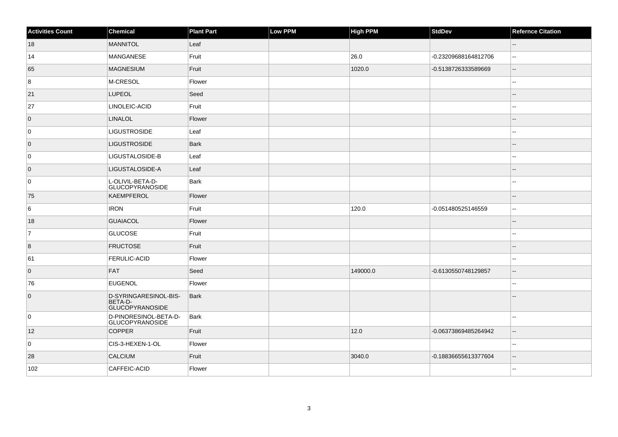| <b>Activities Count</b> | Chemical                                                   | <b>Plant Part</b> | Low PPM | <b>High PPM</b> | StdDev               | <b>Refernce Citation</b>    |
|-------------------------|------------------------------------------------------------|-------------------|---------|-----------------|----------------------|-----------------------------|
| 18                      | <b>MANNITOL</b>                                            | Leaf              |         |                 |                      | $\mathcal{L}_{\mathcal{L}}$ |
| 14                      | MANGANESE                                                  | Fruit             |         | 26.0            | -0.23209688164812706 | $\mathbf{u}$                |
| 65                      | MAGNESIUM                                                  | Fruit             |         | 1020.0          | -0.5138726333589669  | $\overline{\phantom{a}}$    |
| 8                       | M-CRESOL                                                   | Flower            |         |                 |                      | --                          |
| 21                      | <b>LUPEOL</b>                                              | Seed              |         |                 |                      | --                          |
| 27                      | LINOLEIC-ACID                                              | Fruit             |         |                 |                      |                             |
| $\overline{0}$          | <b>LINALOL</b>                                             | Flower            |         |                 |                      | $-$                         |
| 0                       | <b>LIGUSTROSIDE</b>                                        | Leaf              |         |                 |                      | --                          |
| $\overline{0}$          | <b>LIGUSTROSIDE</b>                                        | Bark              |         |                 |                      |                             |
| 0                       | LIGUSTALOSIDE-B                                            | Leaf              |         |                 |                      | $\overline{a}$              |
| $\overline{0}$          | LIGUSTALOSIDE-A                                            | Leaf              |         |                 |                      | $-$                         |
| 0                       | L-OLIVIL-BETA-D-<br><b>GLUCOPYRANOSIDE</b>                 | Bark              |         |                 |                      | Ξ.                          |
| 75                      | KAEMPFEROL                                                 | Flower            |         |                 |                      | --                          |
| 6                       | <b>IRON</b>                                                | Fruit             |         | 120.0           | -0.051480525146559   | Ξ.                          |
| 18                      | <b>GUAIACOL</b>                                            | Flower            |         |                 |                      |                             |
| 7                       | <b>GLUCOSE</b>                                             | Fruit             |         |                 |                      | --                          |
| 8                       | <b>FRUCTOSE</b>                                            | Fruit             |         |                 |                      |                             |
| 61                      | <b>FERULIC-ACID</b>                                        | Flower            |         |                 |                      | --                          |
| $\overline{0}$          | FAT                                                        | Seed              |         | 149000.0        | -0.6130550748129857  | $\overline{\phantom{a}}$    |
| 76                      | <b>EUGENOL</b>                                             | Flower            |         |                 |                      | ۵.                          |
| $\overline{0}$          | D-SYRINGARESINOL-BIS-<br>BETA-D-<br><b>GLUCOPYRANOSIDE</b> | Bark              |         |                 |                      |                             |
| 0                       | D-PINORESINOL-BETA-D-<br><b>GLUCOPYRANOSIDE</b>            | Bark              |         |                 |                      | ۵.                          |
| 12                      | <b>COPPER</b>                                              | Fruit             |         | 12.0            | -0.06373869485264942 | $\overline{a}$              |
| $\mathsf 0$             | CIS-3-HEXEN-1-OL                                           | Flower            |         |                 |                      |                             |
| 28                      | <b>CALCIUM</b>                                             | Fruit             |         | 3040.0          | -0.18836655613377604 | $\overline{\phantom{a}}$    |
| 102                     | CAFFEIC-ACID                                               | Flower            |         |                 |                      | $\mathbf{u}$                |